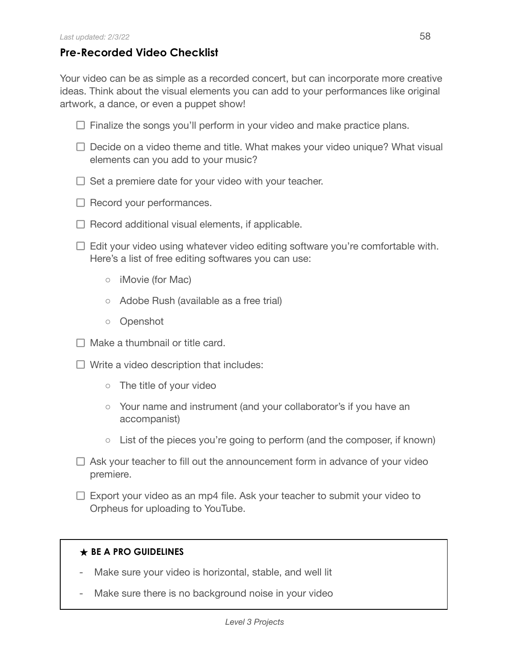## **Pre-Recorded Video Checklist**

Your video can be as simple as a recorded concert, but can incorporate more creative ideas. Think about the visual elements you can add to your performances like original artwork, a dance, or even a puppet show!

- $\Box$  Finalize the songs you'll perform in your video and make practice plans.
- $\Box$  Decide on a video theme and title. What makes your video unique? What visual elements can you add to your music?
- $\Box$  Set a premiere date for your video with your teacher.
- $\Box$  Record your performances.
- $\Box$  Record additional visual elements, if applicable.
- $\Box$  Edit your video using whatever video editing software you're comfortable with. Here's a list of free editing softwares you can use:
	- iMovie (for Mac)
	- Adobe Rush (available as a free trial)
	- Openshot
- $\Box$  Make a thumbnail or title card.
- $\Box$  Write a video description that includes:
	- The title of your video
	- Your name and instrument (and your collaborator's if you have an accompanist)
	- $\circ$  List of the pieces you're going to perform (and the composer, if known)
- $\Box$  Ask your teacher to fill out the announcement form in advance of your video premiere.
- $\Box$  Export your video as an mp4 file. Ask your teacher to submit your video to Orpheus for uploading to YouTube.

## **★ BE A PRO GUIDELINES**

- Make sure your video is horizontal, stable, and well lit
- Make sure there is no background noise in your video